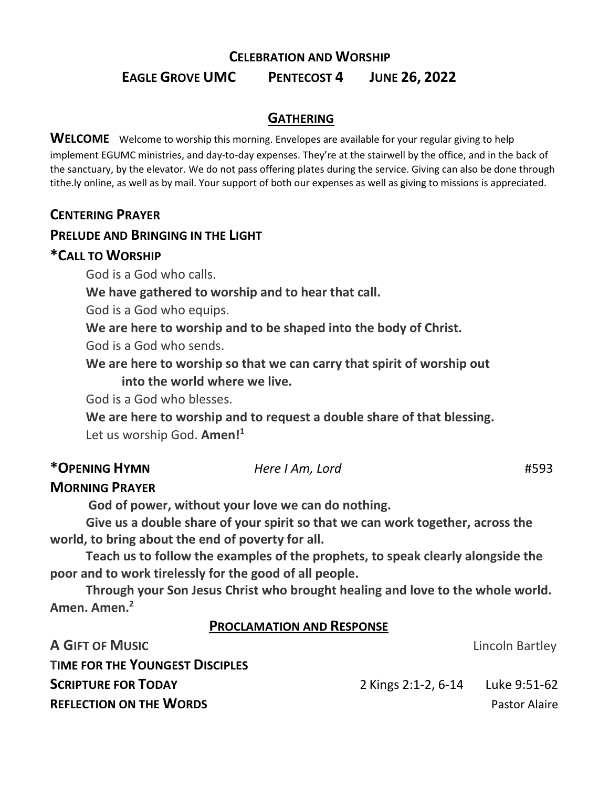# **CELEBRATION AND WORSHIP EAGLE GROVE UMC PENTECOST 4 JUNE 26, 2022**

## **GATHERING**

**WELCOME** Welcome to worship this morning. Envelopes are available for your regular giving to help implement EGUMC ministries, and day-to-day expenses. They're at the stairwell by the office, and in the back of the sanctuary, by the elevator. We do not pass offering plates during the service. Giving can also be done through tithe.ly online, as well as by mail. Your support of both our expenses as well as giving to missions is appreciated.

## **CENTERING PRAYER**

## **PRELUDE AND BRINGING IN THE LIGHT**

### **\*CALL TO WORSHIP**

God is a God who calls.

**We have gathered to worship and to hear that call.**

God is a God who equips.

**We are here to worship and to be shaped into the body of Christ.**

God is a God who sends.

**We are here to worship so that we can carry that spirit of worship out into the world where we live.**

God is a God who blesses.

**We are here to worship and to request a double share of that blessing.** Let us worship God. **Amen!<sup>1</sup>**

## **\*OPENING HYMN** *Here I Am, Lord* #593

## **MORNING PRAYER**

**God of power, without your love we can do nothing.**

**Give us a double share of your spirit so that we can work together, across the world, to bring about the end of poverty for all.**

**Teach us to follow the examples of the prophets, to speak clearly alongside the poor and to work tirelessly for the good of all people.**

**Through your Son Jesus Christ who brought healing and love to the whole world. Amen. Amen.<sup>2</sup>**

### **PROCLAMATION AND RESPONSE**

| <b>A GIFT OF MUSIC</b>                 |                     | Lincoln Bartley      |
|----------------------------------------|---------------------|----------------------|
| <b>TIME FOR THE YOUNGEST DISCIPLES</b> |                     |                      |
| <b>SCRIPTURE FOR TODAY</b>             | 2 Kings 2:1-2, 6-14 | Luke 9:51-62         |
| <b>REFLECTION ON THE WORDS</b>         |                     | <b>Pastor Alaire</b> |